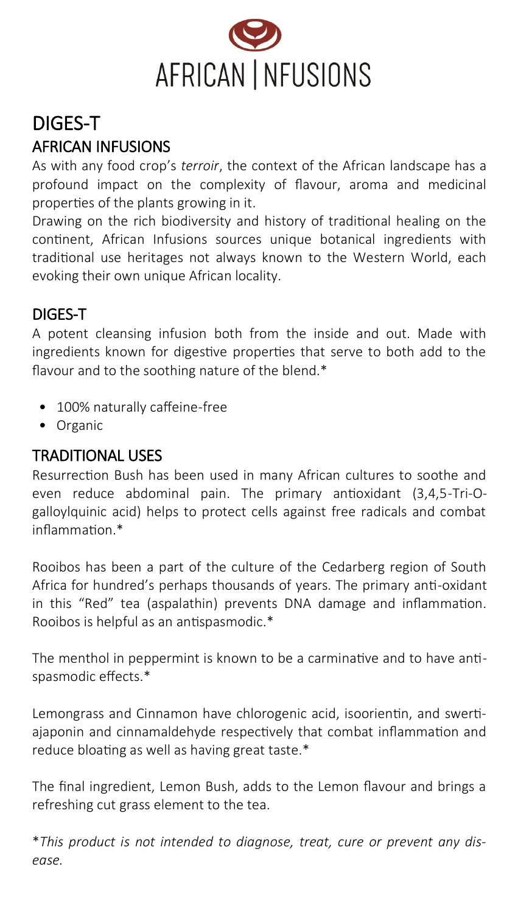

# DIGES-T AFRICAN INFUSIONS

As with any food crop's *terroir*, the context of the African landscape has a profound impact on the complexity of flavour, aroma and medicinal properties of the plants growing in it.

Drawing on the rich biodiversity and history of traditional healing on the continent, African Infusions sources unique botanical ingredients with traditional use heritages not always known to the Western World, each evoking their own unique African locality.

### DIGES-T

A potent cleansing infusion both from the inside and out. Made with ingredients known for digestive properties that serve to both add to the flavour and to the soothing nature of the blend.\*

- 100% naturally caffeine-free
- Organic

#### TRADITIONAL USES

Resurrection Bush has been used in many African cultures to soothe and even reduce abdominal pain. The primary antioxidant (3,4,5-Tri-Ogalloylquinic acid) helps to protect cells against free radicals and combat inflammation.\*

Rooibos has been a part of the culture of the Cedarberg region of South Africa for hundred's perhaps thousands of years. The primary anti-oxidant in this "Red" tea (aspalathin) prevents DNA damage and inflammation. Rooibos is helpful as an antispasmodic.\*

The menthol in peppermint is known to be a carminative and to have antispasmodic effects.\*

Lemongrass and Cinnamon have chlorogenic acid, isoorientin, and swertiajaponin and cinnamaldehyde respectively that combat inflammation and reduce bloating as well as having great taste.\*

The final ingredient, Lemon Bush, adds to the Lemon flavour and brings a refreshing cut grass element to the tea.

\**This product is not intended to diagnose, treat, cure or prevent any disease.*